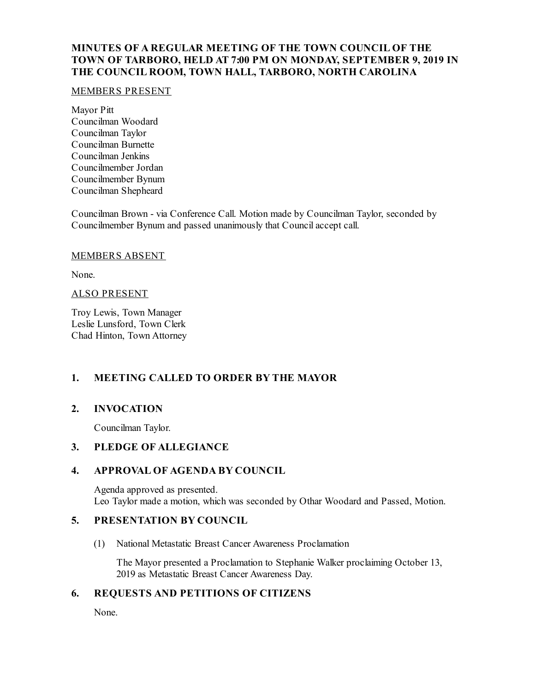### **MINUTES OF A REGULAR MEETING OF THE TOWN COUNCIL OF THE TOWN OF TARBORO, HELD AT 7:00 PM ON MONDAY, SEPTEMBER 9, 2019 IN THE COUNCIL ROOM, TOWN HALL, TARBORO, NORTH CAROLINA**

#### MEMBERS PRESENT

Mayor Pitt Councilman Woodard Councilman Taylor Councilman Burnette Councilman Jenkins Councilmember Jordan Councilmember Bynum Councilman Shepheard

Councilman Brown - via Conference Call. Motion made by Councilman Taylor, seconded by Councilmember Bynum and passed unanimously that Councilaccept call.

#### MEMBERS ABSENT

None.

#### ALSO PRESENT

Troy Lewis, Town Manager Leslie Lunsford, Town Clerk Chad Hinton, Town Attorney

# **1. MEETING CALLED TO ORDER BY THE MAYOR**

# **2. INVOCATION**

Councilman Taylor.

### **3. PLEDGE OF ALLEGIANCE**

# **4. APPROVAL OF AGENDA BY COUNCIL**

Agenda approved as presented. Leo Taylor made a motion, which was seconded by Othar Woodard and Passed, Motion.

### **5. PRESENTATION BY COUNCIL**

(1) National Metastatic Breast Cancer Awareness Proclamation

The Mayor presented a Proclamation to Stephanie Walker proclaiming October 13, 2019 as Metastatic Breast Cancer Awareness Day.

# **6. REQUESTS AND PETITIONS OF CITIZENS**

None.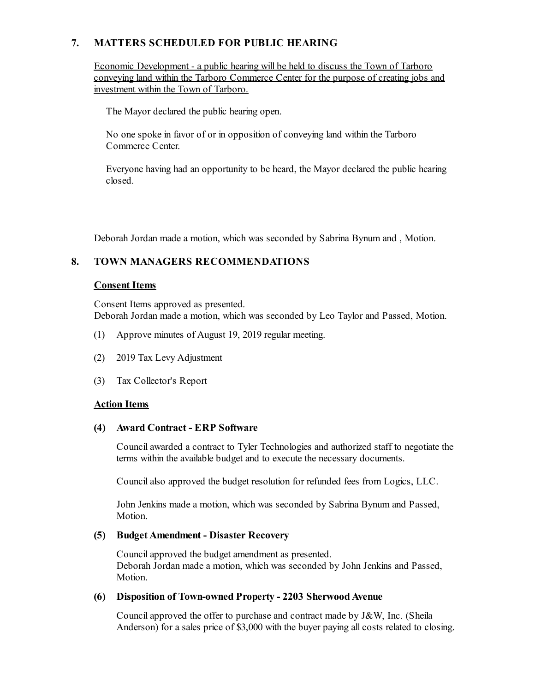# **7. MATTERS SCHEDULED FOR PUBLIC HEARING**

Economic Development - a public hearing will be held to discuss the Town of Tarboro conveying land within the Tarboro Commerce Center for the purpose of creating jobs and investment within the Town of Tarboro.

The Mayor declared the public hearing open.

No one spoke in favor of or in opposition of conveying land within the Tarboro Commerce Center.

Everyone having had an opportunity to be heard, the Mayor declared the public hearing closed.

Deborah Jordan made a motion, which was seconded by Sabrina Bynum and , Motion.

# **8. TOWN MANAGERS RECOMMENDATIONS**

### **Consent Items**

Consent Items approved as presented. Deborah Jordan made a motion, which was seconded by Leo Taylor and Passed, Motion.

- (1) Approve minutes of August 19, 2019 regular meeting.
- (2) 2019 Tax Levy Adjustment
- (3) Tax Collector's Report

# **Action Items**

### **(4) Award Contract - ERP Software**

Councilawarded a contract to Tyler Technologies and authorized staff to negotiate the terms within the available budget and to execute the necessary documents.

Councilalso approved the budget resolution for refunded fees from Logics, LLC.

John Jenkins made a motion, which was seconded by Sabrina Bynum and Passed, Motion.

### **(5) Budget Amendment - Disaster Recovery**

Councilapproved the budget amendment as presented. Deborah Jordan made a motion, which was seconded by John Jenkins and Passed, Motion.

### **(6) Disposition of Town-owned Property - 2203 SherwoodAvenue**

Councilapproved the offer to purchase and contract made by J&W, Inc. (Sheila Anderson) for a sales price of \$3,000 with the buyer paying all costs related to closing.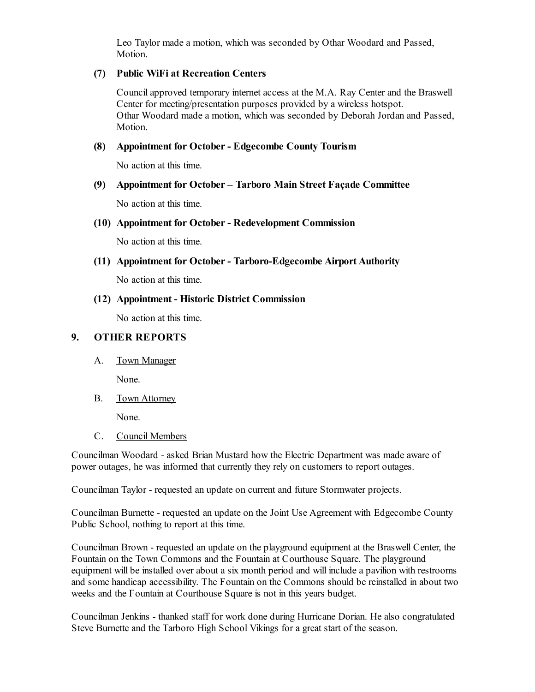Leo Taylor made a motion, which was seconded by Othar Woodard and Passed, Motion.

#### **(7) Public WiFi at Recreation Centers**

Councilapproved temporary internet access at the M.A. Ray Center and the Braswell Center for meeting/presentation purposes provided by a wireless hotspot. Othar Woodard made a motion, which was seconded by Deborah Jordan and Passed, Motion.

#### **(8) Appointment for October- Edgecombe County Tourism**

No action at this time.

### **(9) Appointment for October – Tarboro Main Street Façade Committee**

No action at this time.

#### **(10) Appointment for October- Redevelopment Commission**

No action at this time.

#### **(11) Appointment for October- Tarboro-Edgecombe Airport Authority**

No action at this time.

#### **(12) Appointment - Historic District Commission**

No action at this time.

### **9. OTHER REPORTS**

A. Town Manager

None.

B. Town Attorney

None.

C. Council Members

Councilman Woodard - asked Brian Mustard how the Electric Department was made aware of power outages, he was informed that currently they rely on customers to report outages.

Councilman Taylor - requested an update on current and future Stormwater projects.

Councilman Burnette - requested an update on the Joint Use Agreement with Edgecombe County Public School, nothing to report at this time.

Councilman Brown - requested an update on the playground equipment at the Braswell Center, the Fountain on the Town Commons and the Fountain at Courthouse Square. The playground equipment will be installed over about a six month period and will include a pavilion with restrooms and some handicap accessibility. The Fountain on the Commons should be reinstalled in about two weeks and the Fountain at Courthouse Square is not in this years budget.

Councilman Jenkins - thanked staff for work done during Hurricane Dorian. He also congratulated Steve Burnette and the Tarboro High School Vikings for a great start of the season.